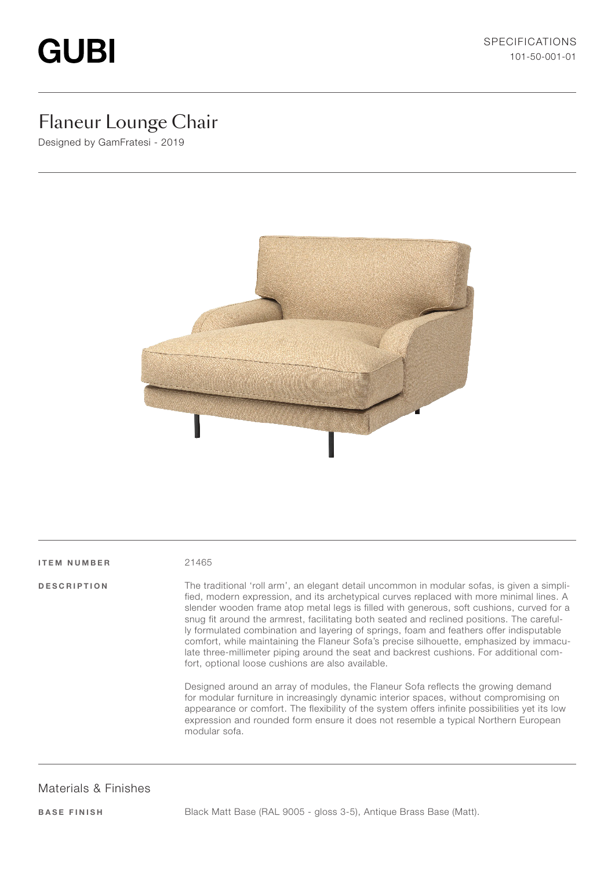# **GUBI**

## Flaneur Lounge Chair

Designed by GamFratesi - 2019



#### ITEM NUMBER 21465

DESCRIPTION The traditional 'roll arm', an elegant detail uncommon in modular sofas, is given a simplified, modern expression, and its archetypical curves replaced with more minimal lines. A slender wooden frame atop metal legs is filled with generous, soft cushions, curved for a snug fit around the armrest, facilitating both seated and reclined positions. The carefully formulated combination and layering of springs, foam and feathers offer indisputable comfort, while maintaining the Flaneur Sofa's precise silhouette, emphasized by immaculate three-millimeter piping around the seat and backrest cushions. For additional comfort, optional loose cushions are also available.

> Designed around an array of modules, the Flaneur Sofa reflects the growing demand for modular furniture in increasingly dynamic interior spaces, without compromising on appearance or comfort. The flexibility of the system offers infinite possibilities yet its low expression and rounded form ensure it does not resemble a typical Northern European modular sofa.

#### Materials & Finishes

BASE FINISH Black Matt Base (RAL 9005 - gloss 3-5), Antique Brass Base (Matt).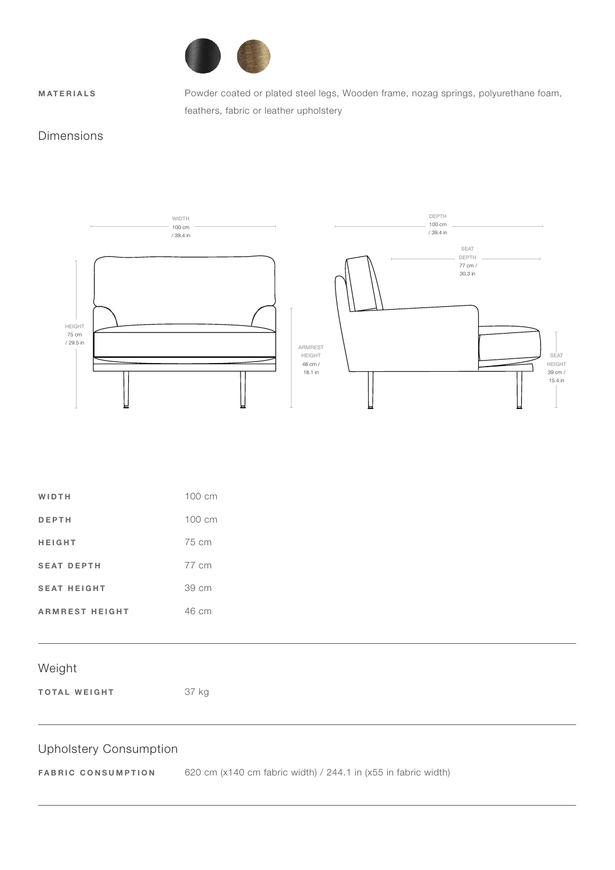

MATERIALS Powder coated or plated steel legs, Wooden frame, nozag springs, polyurethane foam, feathers, fabric or leather upholstery

#### Dimensions



| $100 \text{ cm}$ |
|------------------|
| 100 cm           |
| 75 cm            |
| 77 cm            |
| 39 cm            |
| 46 cm            |
|                  |

### Weight

TOTAL WEIGHT 37 kg

## Upholstery Consumption

FABRIC CONSUMPTION 620 cm (x140 cm fabric width) / 244.1 in (x55 in fabric width)